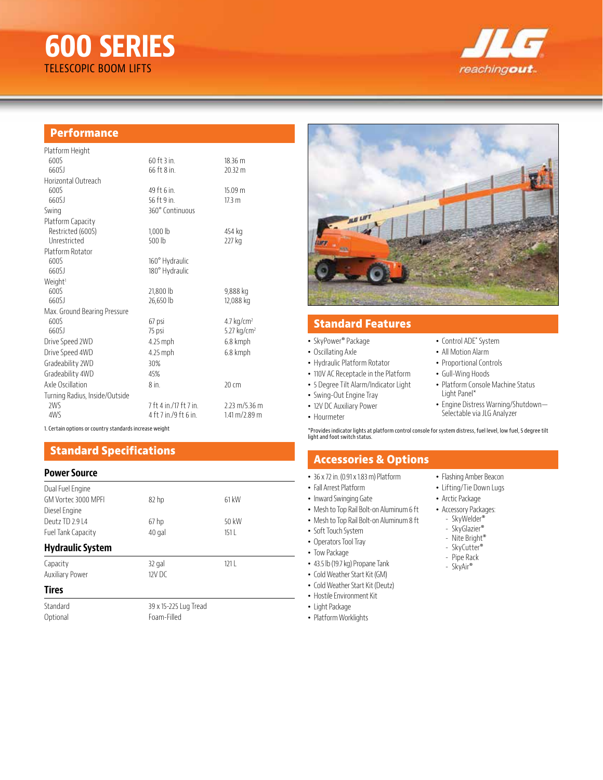# **600 SERIES** TELESCOPIC BOOM LIFTS



## **Performance**

| Platform Height                |                        |                                   |
|--------------------------------|------------------------|-----------------------------------|
| 600S                           | $60$ ft $3$ in.        | 18.36 m                           |
| 660SJ                          | 66 ft 8 in.            | 20.32 m                           |
| Horizontal Outreach            |                        |                                   |
| 6005                           | 49 ft 6 in.            | 15.09 m                           |
| 660SJ                          | 56 ft 9 in.            | 17.3 <sub>m</sub>                 |
| Swing                          | 360° Continuous        |                                   |
| Platform Capacity              |                        |                                   |
| Restricted (600S)              | 1,000 lb               | 454 kg                            |
| Unrestricted                   | 500 lb                 | 227 kg                            |
| Platform Rotator               |                        |                                   |
| 600S                           | 160° Hydraulic         |                                   |
| 660SJ                          | 180° Hydraulic         |                                   |
| Weight <sup>1</sup>            |                        |                                   |
| 6005                           | 21,800 lb              | 9,888 kg                          |
| 660SJ                          | 26,650 lb              | 12,088 kg                         |
| Max. Ground Bearing Pressure   |                        |                                   |
| 600S                           | 67 psi                 | 4.7 $kg/cm2$                      |
| 660SJ                          | 75 psi                 | 5.27 kg/cm <sup>2</sup>           |
| Drive Speed 2WD                | 4.25 mph               | 6.8 kmph                          |
| Drive Speed 4WD                | 4.25 mph               | 6.8 kmph                          |
| Gradeability 2WD               | 30%                    |                                   |
| Gradeability 4WD               | 45%                    |                                   |
| Axle Oscillation               | 8 in                   | 20 cm                             |
| Turning Radius, Inside/Outside |                        |                                   |
| 2WS                            | 7 ft 4 in /17 ft 7 in. | 2.23 m/5.36 m                     |
| 4WS                            | 4 ft 7 in./9 ft 6 in.  | $1.41 \text{ m} / 2.89 \text{ m}$ |
|                                |                        |                                   |

1. Certain options or country standards increase weight

# **Standard Specifications**

### **Power Source**

| Dual Fuel Engine        |                  |       |  |
|-------------------------|------------------|-------|--|
| GM Vortec 3000 MPFI     | 82 <sub>hp</sub> | 61 kW |  |
| Diesel Engine           |                  |       |  |
| Deutz TD 2.9 L4         | 67 <sub>hp</sub> | 50 kW |  |
| Fuel Tank Capacity      | 40 gal           | 151L  |  |
| <b>Hydraulic System</b> |                  |       |  |
| Capacity                | 32 gal           | 1211  |  |
| <b>Auxiliary Power</b>  | $12V$ DC         |       |  |
| <b>Tires</b>            |                  |       |  |

## **Tires**

Standard 39 x 15-225 Lug Tread<br>
20 Dptional Communication Communication Foam-Filled



## **Standard Features**

#### • SkyPower® Package

- Oscillating Axle
- Hydraulic Platform Rotator
- 110V AC Receptacle in the Platform
- 5 Degree Tilt Alarm/Indicator Light
- Swing-Out Engine Tray
- 12V DC Auxiliary Power
- Hourmeter

\*Provides indicator lights at platform control console for system distress, fuel level, low fuel, 5 degree tilt light and foot switch status.

# **Accessories & Options**

- 36 x 72 in. (0.91 x 1.83 m) Platform
- Fall Arrest Platform
- Inward Swinging Gate
- Mesh to Top Rail Bolt-on Aluminum 6 ft
- Mesh to Top Rail Bolt-on Aluminum 8 ft
- Soft Touch System
- Operators Tool Tray
- Tow Package
- 43.5 lb (19.7 kg) Propane Tank
- Cold Weather Start Kit (GM)
- Cold Weather Start Kit (Deutz)
- Hostile Environment Kit
- Light Package
- Platform Worklights
- Flashing Amber Beacon
- 
- Arctic Package
- Accessory Packages:
	- SkyWelder®
	- SkyGlazier®
	- Nite Bright®
	- SkyCutter®
	- Pipe Rack - SkyAir®
	-
- Lifting/Tie Down Lugs

• Control ADE® System • All Motion Alarm • Proportional Controls • Gull-Wing Hoods

Light Panel\*

• Platform Console Machine Status

• Engine Distress Warning/Shutdown— Selectable via JLG Analyzer